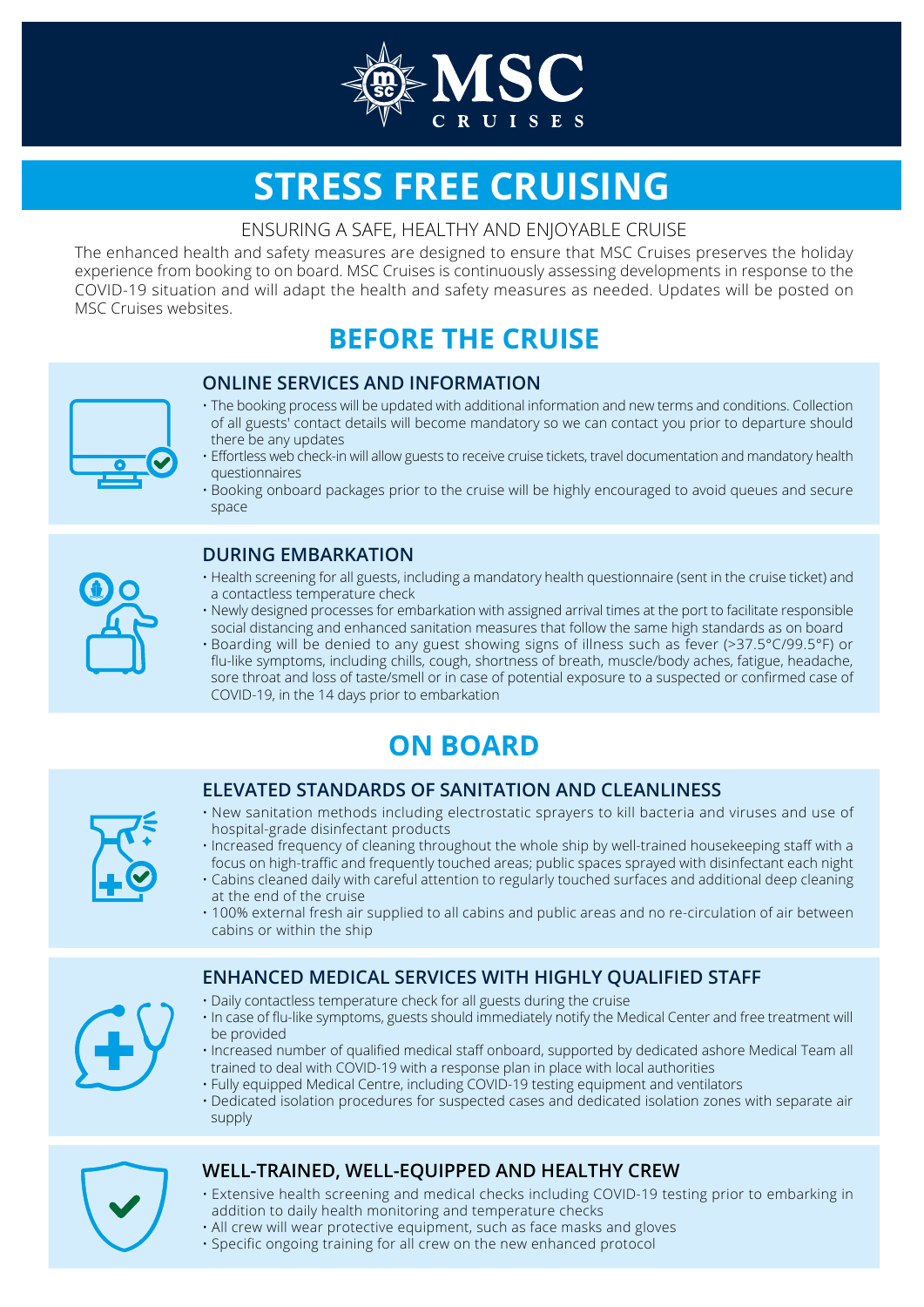

# **STRESS FREE CRUISING**

#### ENSURING A SAFE, HEALTHY AND ENJOYABLE CRUISE

The enhanced health and safety measures are designed to ensure that MSC Cruises preserves the holiday experience from booking to on board. MSC Cruises is continuously assessing developments in response to the COVID-19 situation and will adapt the health and safety measures as needed. Updates will be posted on MSC Cruises websites.

## **BEFORE THE CRUISE**

#### **ONLINE SERVICES AND INFORMATION**



- The booking process will be updated with additional information and new terms and conditions. Collection of all guests' contact details will become mandatory so we can contact you prior to departure should there be any updates
- Effortless web check-in will allow guests to receive cruise tickets, travel documentation and mandatory health questionnaires
- Booking onboard packages prior to the cruise will be highly encouraged to avoid queues and secure space

#### **DURING EMBARKATION**

- Health screening for all guests, including a mandatory health questionnaire (sent in the cruise ticket) and a contactless temperature check
- Newly designed processes for embarkation with assigned arrival times at the port to facilitate responsible social distancing and enhanced sanitation measures that follow the same high standards as on board
- Boarding will be denied to any guest showing signs of illness such as fever (>37.5°C/99.5°F) or flu-like symptoms, including chills, cough, shortness of breath, muscle/body aches, fatigue, headache, sore throat and loss of taste/smell or in case of potential exposure to a suspected or confirmed case of COVID-19, in the 14 days prior to embarkation

## **ON BOARD**

#### **ELEVATED STANDARDS OF SANITATION AND CLEANLINESS**

- New sanitation methods including electrostatic sprayers to kill bacteria and viruses and use of hospital-grade disinfectant products
- Increased frequency of cleaning throughout the whole ship by well-trained housekeeping staff with a focus on high-traffic and frequently touched areas; public spaces sprayed with disinfectant each night
- Cabins cleaned daily with careful attention to regularly touched surfaces and additional deep cleaning at the end of the cruise
- 100% external fresh air supplied to all cabins and public areas and no re-circulation of air between cabins or within the ship

### **ENHANCED MEDICAL SERVICES WITH HIGHLY QUALIFIED STAFF**

- Daily contactless temperature check for all guests during the cruise
- In case of flu-like symptoms, guests should immediately notify the Medical Center and free treatment will be provided
- Increased number of qualified medical staff onboard, supported by dedicated ashore Medical Team all trained to deal with COVID-19 with a response plan in place with local authorities
- Fully equipped Medical Centre, including COVID-19 testing equipment and ventilators
- Dedicated isolation procedures for suspected cases and dedicated isolation zones with separate air supply

### **WELL-TRAINED, WELL-EQUIPPED AND HEALTHY CREW**

- Extensive health screening and medical checks including COVID-19 testing prior to embarking in addition to daily health monitoring and temperature checks
- All crew will wear protective equipment, such as face masks and gloves
- Specific ongoing training for all crew on the new enhanced protocol